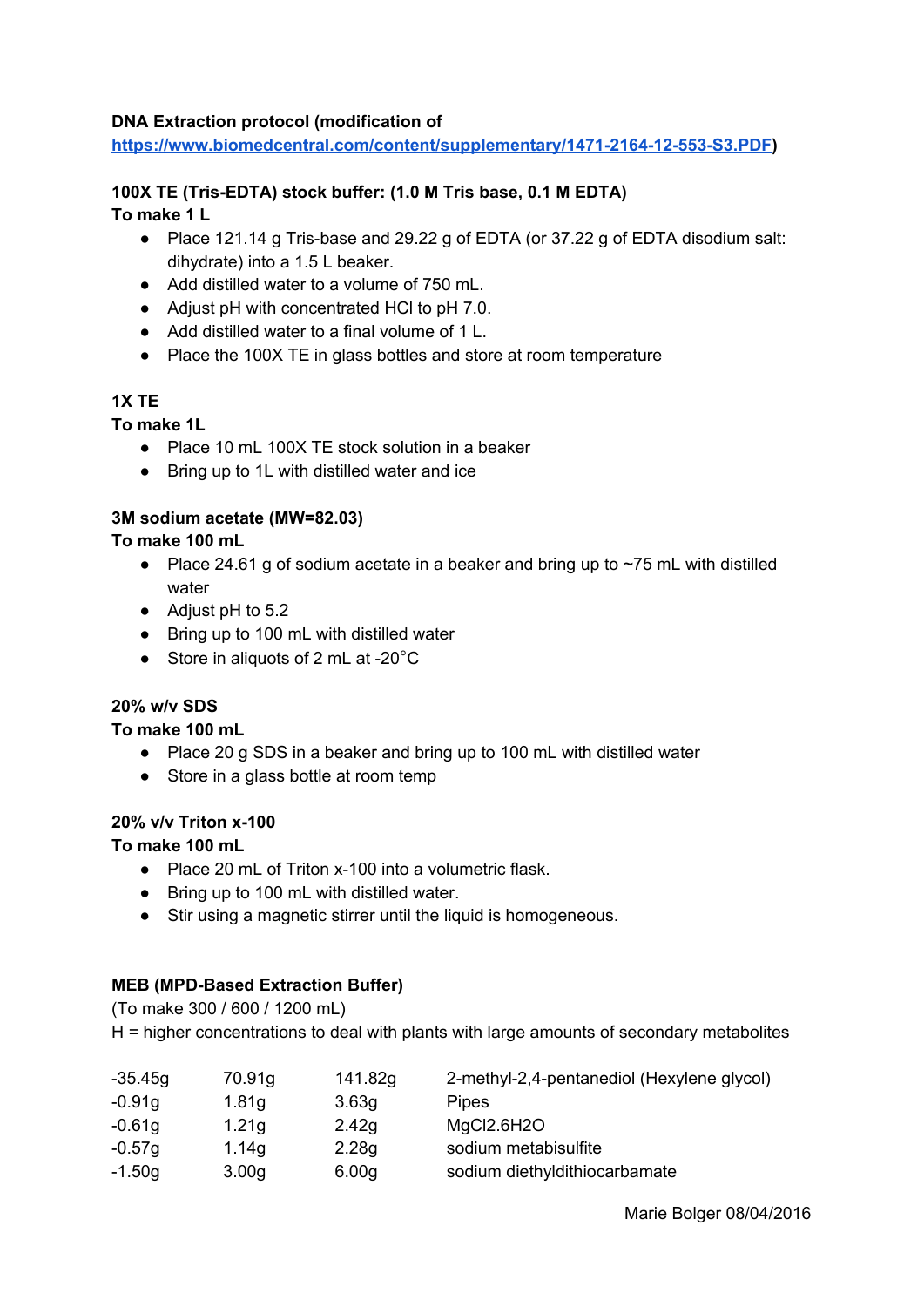#### **DNA Extraction protocol (modification of**

**<https://www.biomedcentral.com/content/supplementary/1471-2164-12-553-S3.PDF>)**

# **100X TE (Tris-EDTA) stock buffer: (1.0 M Tris base, 0.1 M EDTA)**

### **To make 1 L**

- Place 121.14 g Tris-base and 29.22 g of EDTA (or 37.22 g of EDTA disodium salt: dihydrate) into a 1.5 L beaker.
- Add distilled water to a volume of 750 mL.
- Adjust pH with concentrated HCl to pH 7.0.
- Add distilled water to a final volume of 1 L.
- Place the 100X TE in glass bottles and store at room temperature

# **1X TE**

### **To make 1L**

- Place 10 mL 100X TE stock solution in a beaker
- Bring up to 1L with distilled water and ice

### **3M sodium acetate (MW=82.03)**

### **To make 100 mL**

- Place 24.61 g of sodium acetate in a beaker and bring up to  $\sim$ 75 mL with distilled water
- Adjust pH to 5.2
- Bring up to 100 mL with distilled water
- Store in aliquots of 2 mL at -20 $^{\circ}$ C

#### **20% w/v SDS**

#### **To make 100 mL**

- Place 20 g SDS in a beaker and bring up to 100 mL with distilled water
- Store in a glass bottle at room temp

#### **20% v/v Triton x-100**

#### **To make 100 mL**

- Place 20 mL of Triton x-100 into a volumetric flask.
- Bring up to 100 mL with distilled water.
- Stir using a magnetic stirrer until the liquid is homogeneous.

# **MEB (MPD-Based Extraction Buffer)**

(To make 300 / 600 / 1200 mL)

H = higher concentrations to deal with plants with large amounts of secondary metabolites

| $-35.45g$ | 70.91g            | 141.82g           | 2-methyl-2,4-pentanediol (Hexylene glycol) |
|-----------|-------------------|-------------------|--------------------------------------------|
| $-0.91g$  | 1.81 <sub>g</sub> | 3.63 <sub>q</sub> | <b>Pipes</b>                               |
| $-0.61g$  | 1.21 <sub>g</sub> | 2.42g             | MgCl2.6H2O                                 |
| $-0.57g$  | 1.14g             | 2.28g             | sodium metabisulfite                       |
| $-1.50g$  | 3.00 <sub>q</sub> | 6.00 <sub>q</sub> | sodium diethyldithiocarbamate              |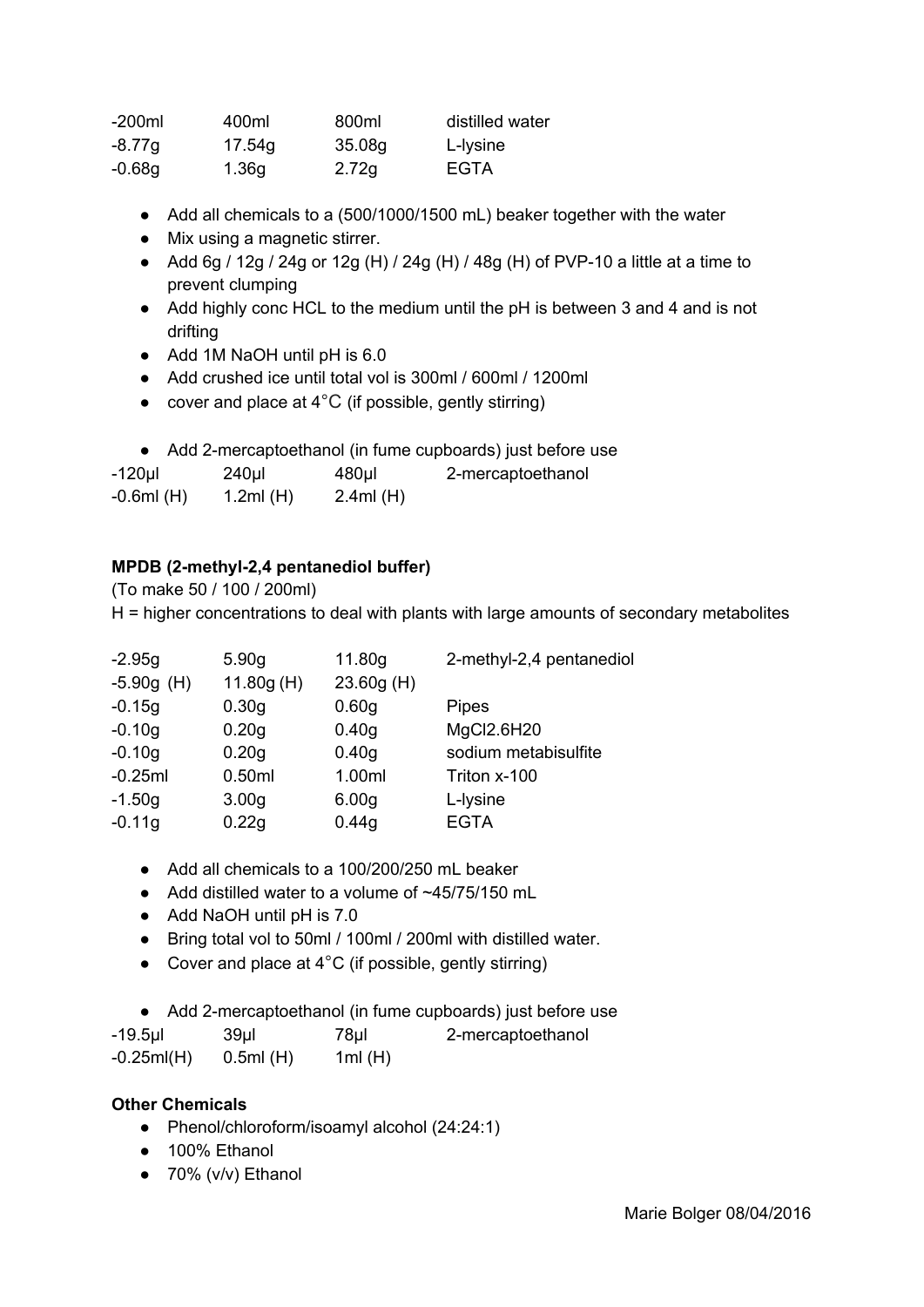| $-200ml$ | 400ml  | 800ml  | distilled water |
|----------|--------|--------|-----------------|
| $-8.77g$ | 17.54g | 35.08g | L-lysine        |
| -0.68g   | 1.36g  | 2.72g  | EGTA            |

- Add all chemicals to a (500/1000/1500 mL) beaker together with the water
- Mix using a magnetic stirrer.
- Add 6g / 12g / 24g or 12g (H) / 24g (H) / 48g (H) of PVP-10 a little at a time to prevent clumping
- Add highly conc HCL to the medium until the pH is between 3 and 4 and is not drifting
- Add 1M NaOH until pH is 6.0
- Add crushed ice until total vol is 300ml / 600ml / 1200ml
- cover and place at  $4^{\circ}$ C (if possible, gently stirring)
- Add 2-mercaptoethanol (in fume cupboards) just before use

| $-120$ µl    | $240$ µl    | $480$ µl | 2-mercaptoethanol |
|--------------|-------------|----------|-------------------|
| $-0.6ml$ (H) | 1.2ml $(H)$ | 2.4ml(H) |                   |

# **MPDB (2-methyl-2,4 pentanediol buffer)**

(To make 50 / 100 / 200ml) H = higher concentrations to deal with plants with large amounts of secondary metabolites

| $-2.95g$     | 5.90 <sub>q</sub> | 11.80g            | 2-methyl-2,4 pentanediol |
|--------------|-------------------|-------------------|--------------------------|
| $-5.90g$ (H) | 11.80g(H)         | 23.60g (H)        |                          |
| $-0.15g$     | 0.30 <sub>g</sub> | 0.60 <sub>g</sub> | <b>Pipes</b>             |
| $-0.10g$     | 0.20 <sub>g</sub> | 0.40 <sub>g</sub> | MgCl2.6H20               |
| $-0.10g$     | 0.20g             | 0.40 <sub>g</sub> | sodium metabisulfite     |
| $-0.25ml$    | 0.50ml            | 1.00ml            | Triton x-100             |
| $-1.50g$     | 3.00 <sub>g</sub> | 6.00 <sub>g</sub> | L-lysine                 |
| $-0.11g$     | 0.22g             | 0.44g             | <b>EGTA</b>              |
|              |                   |                   |                          |

- Add all chemicals to a 100/200/250 mL beaker
- $\bullet$  Add distilled water to a volume of  $\sim$ 45/75/150 mL
- Add NaOH until pH is 7.0
- Bring total vol to 50ml / 100ml / 200ml with distilled water.
- Cover and place at  $4^{\circ}$ C (if possible, gently stirring)

● Add 2-mercaptoethanol (in fume cupboards) just before use

| -19.5µl | 39µI | 78µl | 2-mercaptoethanol |
|---------|------|------|-------------------|
|---------|------|------|-------------------|

-0.25ml(H) 0.5ml (H) 1ml (H)

# **Other Chemicals**

- Phenol/chloroform/isoamyl alcohol (24:24:1)
- 100% Ethanol
- $\bullet$  70% (v/v) Ethanol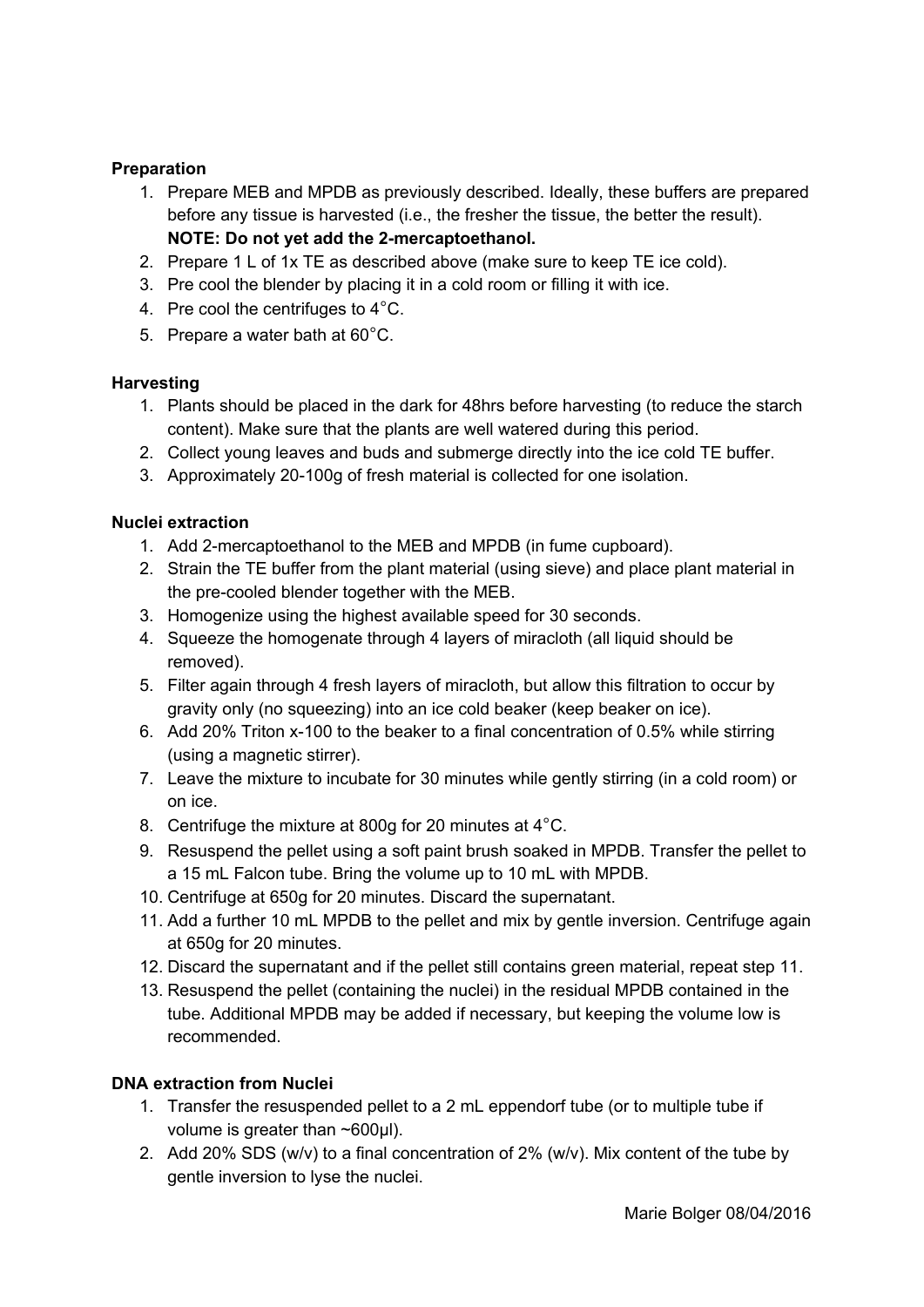# **Preparation**

- 1. Prepare MEB and MPDB as previously described. Ideally, these buffers are prepared before any tissue is harvested (i.e., the fresher the tissue, the better the result). **NOTE: Do not yet add the 2-mercaptoethanol.**
- 2. Prepare 1 L of 1x TE as described above (make sure to keep TE ice cold).
- 3. Pre cool the blender by placing it in a cold room or filling it with ice.
- 4. Pre cool the centrifuges to 4°C.
- 5. Prepare a water bath at 60°C.

#### **Harvesting**

- 1. Plants should be placed in the dark for 48hrs before harvesting (to reduce the starch content). Make sure that the plants are well watered during this period.
- 2. Collect young leaves and buds and submerge directly into the ice cold TE buffer.
- 3. Approximately 20-100g of fresh material is collected for one isolation.

#### **Nuclei extraction**

- 1. Add 2-mercaptoethanol to the MEB and MPDB (in fume cupboard).
- 2. Strain the TE buffer from the plant material (using sieve) and place plant material in the pre-cooled blender together with the MEB.
- 3. Homogenize using the highest available speed for 30 seconds.
- 4. Squeeze the homogenate through 4 layers of miracloth (all liquid should be removed).
- 5. Filter again through 4 fresh layers of miracloth, but allow this filtration to occur by gravity only (no squeezing) into an ice cold beaker (keep beaker on ice).
- 6. Add 20% Triton x-100 to the beaker to a final concentration of 0.5% while stirring (using a magnetic stirrer).
- 7. Leave the mixture to incubate for 30 minutes while gently stirring (in a cold room) or on ice.
- 8. Centrifuge the mixture at 800g for 20 minutes at 4°C.
- 9. Resuspend the pellet using a soft paint brush soaked in MPDB. Transfer the pellet to a 15 mL Falcon tube. Bring the volume up to 10 mL with MPDB.
- 10. Centrifuge at 650g for 20 minutes. Discard the supernatant.
- 11. Add a further 10 mL MPDB to the pellet and mix by gentle inversion. Centrifuge again at 650g for 20 minutes.
- 12. Discard the supernatant and if the pellet still contains green material, repeat step 11.
- 13. Resuspend the pellet (containing the nuclei) in the residual MPDB contained in the tube. Additional MPDB may be added if necessary, but keeping the volume low is recommended.

### **DNA extraction from Nuclei**

- 1. Transfer the resuspended pellet to a 2 mL eppendorf tube (or to multiple tube if volume is greater than ~600μl).
- 2. Add 20% SDS (w/v) to a final concentration of 2% (w/v). Mix content of the tube by gentle inversion to lyse the nuclei.